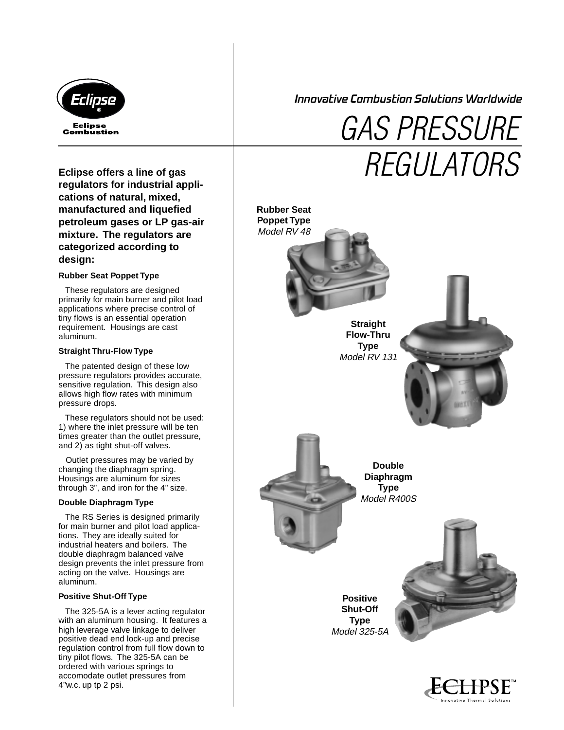

Innovative Combustion Solutions Worldwide

# **regulators for industrial applications of natural, mixed, manufactured and liquefied petroleum gases or LP gas-air mixture. The regulators are categorized according to design:**

### **Rubber Seat Poppet Type**

 These regulators are designed primarily for main burner and pilot load applications where precise control of tiny flows is an essential operation requirement. Housings are cast aluminum.

#### **Straight Thru-Flow Type**

 The patented design of these low pressure regulators provides accurate, sensitive regulation. This design also allows high flow rates with minimum pressure drops.

 These regulators should not be used: 1) where the inlet pressure will be ten times greater than the outlet pressure, and 2) as tight shut-off valves.

 Outlet pressures may be varied by changing the diaphragm spring. Housings are aluminum for sizes through 3", and iron for the 4" size.

#### **Double Diaphragm Type**

 The RS Series is designed primarily for main burner and pilot load applications. They are ideally suited for industrial heaters and boilers. The double diaphragm balanced valve design prevents the inlet pressure from acting on the valve. Housings are aluminum.

#### **Positive Shut-Off Type**

 The 325-5A is a lever acting regulator with an aluminum housing. It features a high leverage valve linkage to deliver positive dead end lock-up and precise regulation control from full flow down to tiny pilot flows. The 325-5A can be ordered with various springs to accomodate outlet pressures from 4"w.c. up tp 2 psi.

GAS PRESSURE Eclipse offers a line of gas **REGULATORS** 



Innovative Thermal Solution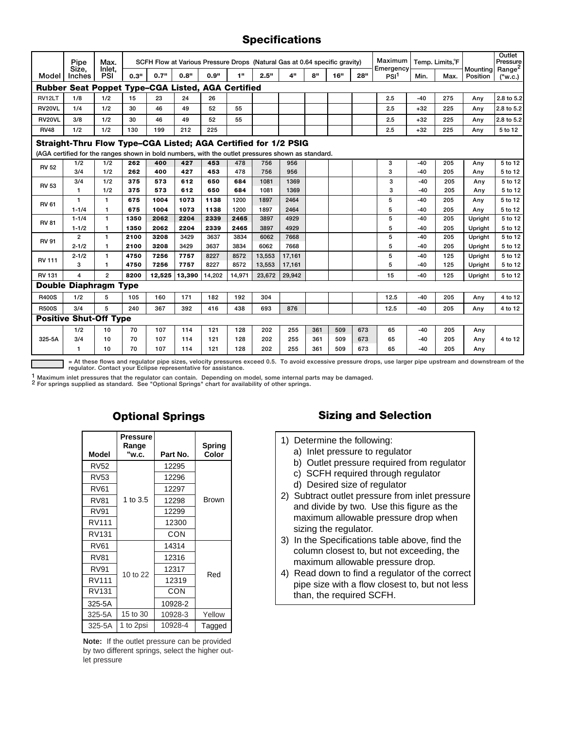## **Specifications**

|                                                                                                   | Pipe            | Max.           | SCFH Flow at Various Pressure Drops (Natural Gas at 0.64 specific gravity) |        |        |        |                 |        |                 |                 |     | Maximum<br>Emergency | Temp. Limits, F  |       |      | Outlet<br>Pressure<br>Range <sup>2</sup> |            |
|---------------------------------------------------------------------------------------------------|-----------------|----------------|----------------------------------------------------------------------------|--------|--------|--------|-----------------|--------|-----------------|-----------------|-----|----------------------|------------------|-------|------|------------------------------------------|------------|
| Model                                                                                             | Size.<br>Inches | Inlet.<br>PSI  | 0.3"                                                                       | 0.7"   | 0.8"   | 0.9"   | 4 <sup>11</sup> | 2.5"   | 4 <sup>II</sup> | 8 <sup>II</sup> | 16" | 28"                  | PSI <sup>1</sup> | Min.  | Max. | Mounting<br>Position                     | ("w.c.)    |
| <b>Rubber Seat Poppet Type-CGA Listed, AGA Certified</b>                                          |                 |                |                                                                            |        |        |        |                 |        |                 |                 |     |                      |                  |       |      |                                          |            |
| RV12LT                                                                                            | 1/8             | 1/2            | 15                                                                         | 23     | 24     | 26     |                 |        |                 |                 |     |                      | 2.5              | $-40$ | 275  | Any                                      | 2.8 to 5.2 |
| <b>RV20VL</b>                                                                                     | 1/4             | 1/2            | 30                                                                         | 46     | 49     | 52     | 55              |        |                 |                 |     |                      | 2.5              | $+32$ | 225  | Any                                      | 2.8 to 5.2 |
| RV20VL                                                                                            | 3/8             | 1/2            | 30                                                                         | 46     | 49     | 52     | 55              |        |                 |                 |     |                      | 2.5              | $+32$ | 225  | Any                                      | 2.8 to 5.2 |
| <b>RV48</b>                                                                                       | 1/2             | 1/2            | 130                                                                        | 199    | 212    | 225    |                 |        |                 |                 |     |                      | 2.5              | $+32$ | 225  | Any                                      | 5 to 12    |
| Straight-Thru Flow Type-CGA Listed; AGA Certified for 1/2 PSIG                                    |                 |                |                                                                            |        |        |        |                 |        |                 |                 |     |                      |                  |       |      |                                          |            |
| (AGA certified for the ranges shown in bold numbers, with the outlet pressures shown as standard. |                 |                |                                                                            |        |        |        |                 |        |                 |                 |     |                      |                  |       |      |                                          |            |
| <b>RV 52</b>                                                                                      | 1/2             | 1/2            | 262                                                                        | 400    | 427    | 453    | 478             | 756    | 956             |                 |     |                      | 3                | -40   | 205  | Any                                      | 5 to 12    |
|                                                                                                   | 3/4             | 1/2            | 262                                                                        | 400    | 427    | 453    | 478             | 756    | 956             |                 |     |                      | 3                | -40   | 205  | Any                                      | 5 to 12    |
| <b>RV 53</b>                                                                                      | 3/4             | 1/2            | 375                                                                        | 573    | 612    | 650    | 684             | 1081   | 1369            |                 |     |                      | 3                | $-40$ | 205  | Any                                      | 5 to 12    |
|                                                                                                   | 1               | 1/2            | 375                                                                        | 573    | 612    | 650    | 684             | 1081   | 1369            |                 |     |                      | 3                | -40   | 205  | Any                                      | 5 to 12    |
| <b>RV 61</b>                                                                                      | 1.              | $\mathbf{1}$   | 675                                                                        | 1004   | 1073   | 1138   | 1200            | 1897   | 2464            |                 |     |                      | 5                | -40   | 205  | Any                                      | 5 to 12    |
|                                                                                                   | $1 - 1/4$       | 1              | 675                                                                        | 1004   | 1073   | 1138   | 1200            | 1897   | 2464            |                 |     |                      | 5                | $-40$ | 205  | Any                                      | 5 to 12    |
| <b>RV 81</b>                                                                                      | $1 - 1/4$       | $\mathbf{1}$   | 1350                                                                       | 2062   | 2204   | 2339   | 2465            | 3897   | 4929            |                 |     |                      | 5                | -40   | 205  | Upright                                  | 5 to 12    |
|                                                                                                   | $1 - 1/2$       | 1              | 1350                                                                       | 2062   | 2204   | 2339   | 2465            | 3897   | 4929            |                 |     |                      | 5                | $-40$ | 205  | Upright                                  | 5 to 12    |
| <b>RV 91</b>                                                                                      | $\overline{2}$  | $\mathbf{1}$   | 2100                                                                       | 3208   | 3429   | 3637   | 3834            | 6062   | 7668            |                 |     |                      | 5                | $-40$ | 205  | Upright                                  | 5 to 12    |
|                                                                                                   | $2 - 1/2$       | $\mathbf{1}$   | 2100                                                                       | 3208   | 3429   | 3637   | 3834            | 6062   | 7668            |                 |     |                      | 5                | $-40$ | 205  | Upright                                  | 5 to 12    |
| <b>RV 111</b>                                                                                     | $2 - 1/2$       | 1              | 4750                                                                       | 7256   | 7757   | 8227   | 8572            | 13,553 | 17,161          |                 |     |                      | 5                | $-40$ | 125  | Upright                                  | 5 to 12    |
|                                                                                                   | 3               | 1              | 4750                                                                       | 7256   | 7757   | 8227   | 8572            | 13,553 | 17,161          |                 |     |                      | 5                | -40   | 125  | Upright                                  | 5 to 12    |
| <b>RV 131</b>                                                                                     | 4               | $\overline{2}$ | 8200                                                                       | 12,525 | 13,390 | 14,202 | 14,971          | 23,672 | 29,942          |                 |     |                      | 15               | $-40$ | 125  | Upright                                  | 5 to 12    |
| <b>Double Diaphragm Type</b>                                                                      |                 |                |                                                                            |        |        |        |                 |        |                 |                 |     |                      |                  |       |      |                                          |            |
| <b>R400S</b>                                                                                      | 1/2             | 5              | 105                                                                        | 160    | 171    | 182    | 192             | 304    |                 |                 |     |                      | 12.5             | $-40$ | 205  | Any                                      | 4 to 12    |
| <b>R500S</b>                                                                                      | 3/4             | 5              | 240                                                                        | 367    | 392    | 416    | 438             | 693    | 876             |                 |     |                      | 12.5             | -40   | 205  | Any                                      | 4 to 12    |
| <b>Positive Shut-Off Type</b>                                                                     |                 |                |                                                                            |        |        |        |                 |        |                 |                 |     |                      |                  |       |      |                                          |            |
| 325-5A                                                                                            | 1/2             | 10             | 70                                                                         | 107    | 114    | 121    | 128             | 202    | 255             | 361             | 509 | 673                  | 65               | $-40$ | 205  | Any                                      |            |
|                                                                                                   | 3/4             | 10             | 70                                                                         | 107    | 114    | 121    | 128             | 202    | 255             | 361             | 509 | 673                  | 65               | -40   | 205  | Any                                      | 4 to 12    |
|                                                                                                   | 1               | 10             | 70                                                                         | 107    | 114    | 121    | 128             | 202    | 255             | 361             | 509 | 673                  | 65               | -40   | 205  | Any                                      |            |

**= At these flows and regulator pipe sizes, velocity pressures exceed 0.5. To avoid excessive pressure drops, use larger pipe upstream and downstream of the regulator. Contact your Eclipse representative for assistance.**

<sup>1</sup> Maximum inlet pressures that the regulator can contain. Depending on model, some internal parts may be damaged.<br><sup>2</sup> For springs supplied as standard. See "Optional Springs" chart for availability of other springs.

|             | Pressure<br>Range |          | Spring |  |  |  |
|-------------|-------------------|----------|--------|--|--|--|
| Model       | "w.c.             | Part No. | Color  |  |  |  |
| <b>RV52</b> |                   | 12295    |        |  |  |  |
| RV53        |                   | 12296    |        |  |  |  |
| <b>RV61</b> |                   | 12297    |        |  |  |  |
| <b>RV81</b> | 1 to 3.5          | 12298    | Brown  |  |  |  |
| RV91        |                   | 12299    |        |  |  |  |
| RV111       |                   | 12300    |        |  |  |  |
| RV131       |                   | CON      |        |  |  |  |
| RV61        |                   | 14314    |        |  |  |  |
| RV81        |                   | 12316    |        |  |  |  |
| RV91        | 10 to 22          | 12317    | Red    |  |  |  |
| RV111       |                   | 12319    |        |  |  |  |
| RV131       |                   | CON      |        |  |  |  |
| 325-5A      |                   | 10928-2  |        |  |  |  |
| 325-5A      | 15 to 30          | 10928-3  | Yellow |  |  |  |
| 325-5A      | 1 to 2psi         | 10928-4  | Tagged |  |  |  |

**Note:** If the outlet pressure can be provided by two different springs, select the higher outlet pressure

## **Optional Springs Sizing and Selection**

- 1) Determine the following:
	- a) Inlet pressure to regulator
	- b) Outlet pressure required from regulator
	- c) SCFH required through regulator
	- d) Desired size of regulator
- 2) Subtract outlet pressure from inlet pressure and divide by two. Use this figure as the maximum allowable pressure drop when sizing the regulator.
- 3) In the Specifications table above, find the column closest to, but not exceeding, the maximum allowable pressure drop.
- 4) Read down to find a regulator of the correct pipe size with a flow closest to, but not less than, the required SCFH.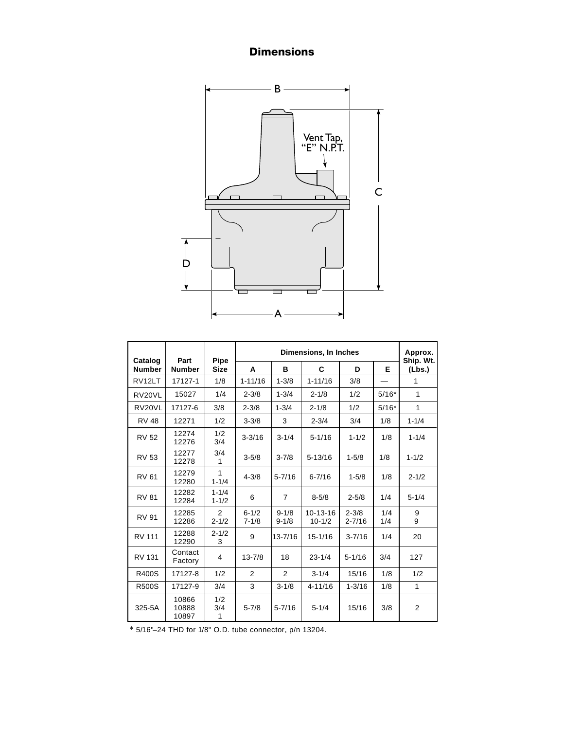# **Dimensions**



| Catalog            | Part                    | Pipe                   |                        | Approx.<br>Ship. Wt.   |                              |                         |            |           |  |
|--------------------|-------------------------|------------------------|------------------------|------------------------|------------------------------|-------------------------|------------|-----------|--|
| <b>Number</b>      | <b>Number</b>           | <b>Size</b>            | A                      | в                      | C                            | D                       | Е          | (Lbs.)    |  |
| RV <sub>12LT</sub> | 17127-1                 | 1/8                    | $1 - 11/16$            | $1 - 3/8$              | $1 - 11/16$                  | 3/8                     |            | 1         |  |
| RV20VL             | 15027                   | 1/4                    | $2 - 3/8$              | $1 - 3/4$              | $2 - 1/8$                    | 1/2                     | $5/16*$    | 1         |  |
| RV20VL             | 17127-6                 | 3/8                    | $2 - 3/8$              | $1 - 3/4$              | $2 - 1/8$                    | 1/2                     | $5/16*$    | 1         |  |
| <b>RV 48</b>       | 12271                   | 1/2                    | $3 - 3/8$              | 3                      | $2 - 3/4$                    | 3/4                     | 1/8        | $1 - 1/4$ |  |
| <b>RV 52</b>       | 12274<br>12276          | 1/2<br>3/4             | $3 - 3/16$             | $3 - 1/4$              | $5 - 1/16$                   | $1 - 1/2$               | 1/8        | $1 - 1/4$ |  |
| <b>RV 53</b>       | 12277<br>12278          | 3/4<br>1               | $3 - 5/8$              | $3 - 7/8$              | $5 - 13/16$                  | $1 - 5/8$               | 1/8        | $1 - 1/2$ |  |
| <b>RV 61</b>       | 12279<br>12280          | 1<br>$1 - 1/4$         | $4 - 3/8$              | $5 - 7/16$             | $6 - 7/16$                   | $1 - 5/8$               | 1/8        | $2 - 1/2$ |  |
| <b>RV 81</b>       | 12282<br>12284          | $1 - 1/4$<br>$1 - 1/2$ | 6                      | $\overline{7}$         | $8 - 5/8$                    | $2 - 5/8$               | 1/4        | $5 - 1/4$ |  |
| <b>RV 91</b>       | 12285<br>12286          | 2<br>$2 - 1/2$         | $6 - 1/2$<br>$7 - 1/8$ | $9 - 1/8$<br>$9 - 1/8$ | $10 - 13 - 16$<br>$10 - 1/2$ | $2 - 3/8$<br>$2 - 7/16$ | 1/4<br>1/4 | 9<br>9    |  |
| <b>RV 111</b>      | 12288<br>12290          | $2 - 1/2$<br>3         | 9                      | $13 - 7/16$            | $15 - 1/16$                  | $3 - 7/16$              | 1/4        | 20        |  |
| RV 131             | Contact<br>Factory      | 4                      | $13 - 7/8$             | 18                     | $23 - 1/4$                   | $5 - 1/16$              | 3/4        | 127       |  |
| <b>R400S</b>       | 17127-8                 | 1/2                    | 2                      | $\overline{2}$         | $3 - 1/4$                    | 15/16                   | 1/8        | 1/2       |  |
| <b>R500S</b>       | 17127-9                 | 3/4                    | 3                      | $3 - 1/8$              | $4 - 11/16$                  | $1 - 3/16$              | 1/8        | 1         |  |
| 325-5A             | 10866<br>10888<br>10897 | 1/2<br>3/4<br>1        | $5 - 7/8$              | $5 - 7/16$             | $5 - 1/4$                    | 15/16                   | 3/8        | 2         |  |

 $*$  5/16"-24 THD for 1/8" O.D. tube connector, p/n 13204.